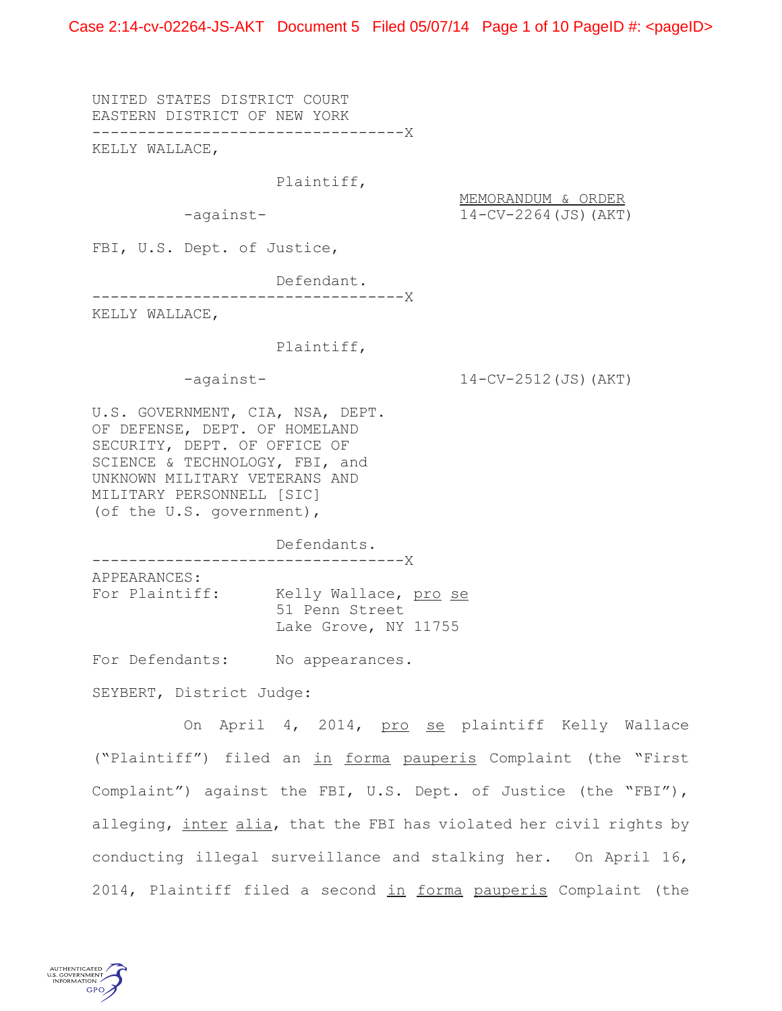Case 2:14-cv-02264-JS-AKT Document 5 Filed 05/07/14 Page 1 of 10 PageID #: <pageID>

UNITED STATES DISTRICT COURT EASTERN DISTRICT OF NEW YORK ----------------------------------X

KELLY WALLACE,

Plaintiff,

MEMORANDUM & ORDER -against- 14-CV-2264(JS)(AKT)

FBI, U.S. Dept. of Justice,

Defendant.

----------------------------------X

KELLY WALLACE,

### Plaintiff,

-against- 14-CV-2512(JS)(AKT)

U.S. GOVERNMENT, CIA, NSA, DEPT. OF DEFENSE, DEPT. OF HOMELAND SECURITY, DEPT. OF OFFICE OF SCIENCE & TECHNOLOGY, FBI, and UNKNOWN MILITARY VETERANS AND MILITARY PERSONNELL [SIC] (of the U.S. government),

Defendants. ----------------------------------X

APPEARANCES: For Plaintiff: Kelly Wallace, pro se 51 Penn Street Lake Grove, NY 11755

For Defendants: No appearances.

SEYBERT, District Judge:

On April 4, 2014, pro se plaintiff Kelly Wallace ("Plaintiff") filed an in forma pauperis Complaint (the "First Complaint") against the FBI, U.S. Dept. of Justice (the "FBI"), alleging, inter alia, that the FBI has violated her civil rights by conducting illegal surveillance and stalking her. On April 16, 2014, Plaintiff filed a second in forma pauperis Complaint (the

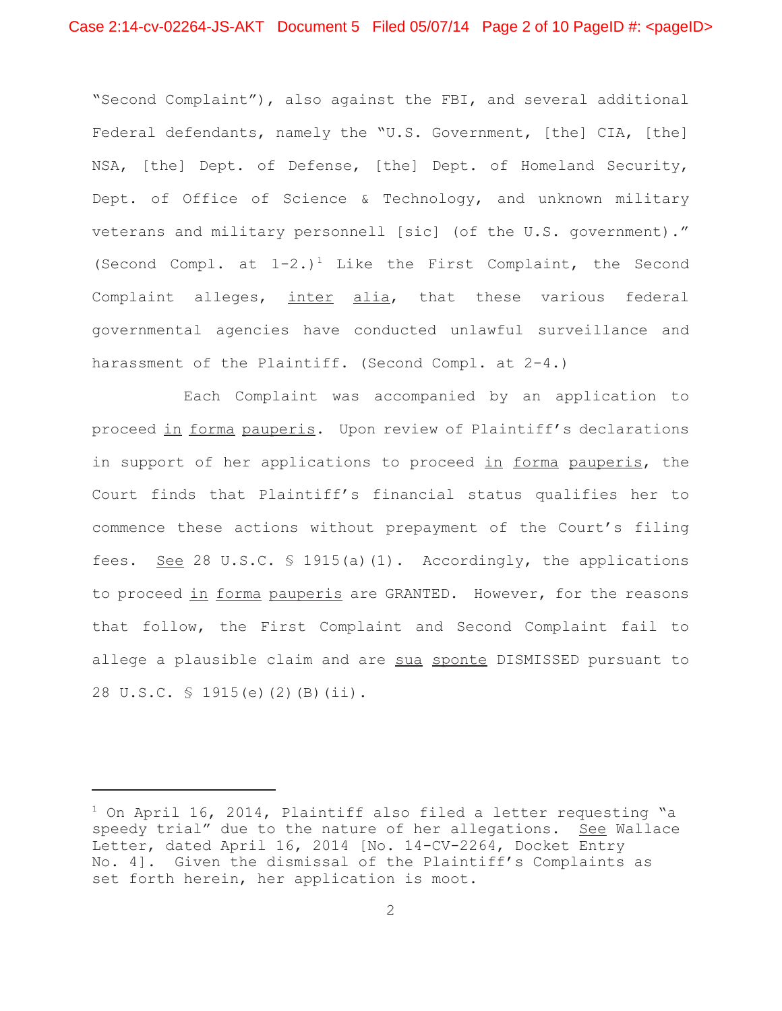"Second Complaint"), also against the FBI, and several additional Federal defendants, namely the "U.S. Government, [the] CIA, [the] NSA, [the] Dept. of Defense, [the] Dept. of Homeland Security, Dept. of Office of Science & Technology, and unknown military veterans and military personnell [sic] (of the U.S. government)." (Second Compl. at  $1-2$ .)<sup>1</sup> Like the First Complaint, the Second Complaint alleges, inter alia, that these various federal governmental agencies have conducted unlawful surveillance and harassment of the Plaintiff. (Second Compl. at 2-4.)

Each Complaint was accompanied by an application to proceed in forma pauperis. Upon review of Plaintiff's declarations in support of her applications to proceed in forma pauperis, the Court finds that Plaintiff's financial status qualifies her to commence these actions without prepayment of the Court's filing fees. See 28 U.S.C. § 1915(a)(1). Accordingly, the applications to proceed in forma pauperis are GRANTED. However, for the reasons that follow, the First Complaint and Second Complaint fail to allege a plausible claim and are sua sponte DISMISSED pursuant to 28 U.S.C. § 1915(e)(2)(B)(ii).

 $^1$  On April 16, 2014, Plaintiff also filed a letter requesting "a speedy trial" due to the nature of her allegations. See Wallace Letter, dated April 16, 2014 [No. 14-CV-2264, Docket Entry No. 4]. Given the dismissal of the Plaintiff's Complaints as set forth herein, her application is moot.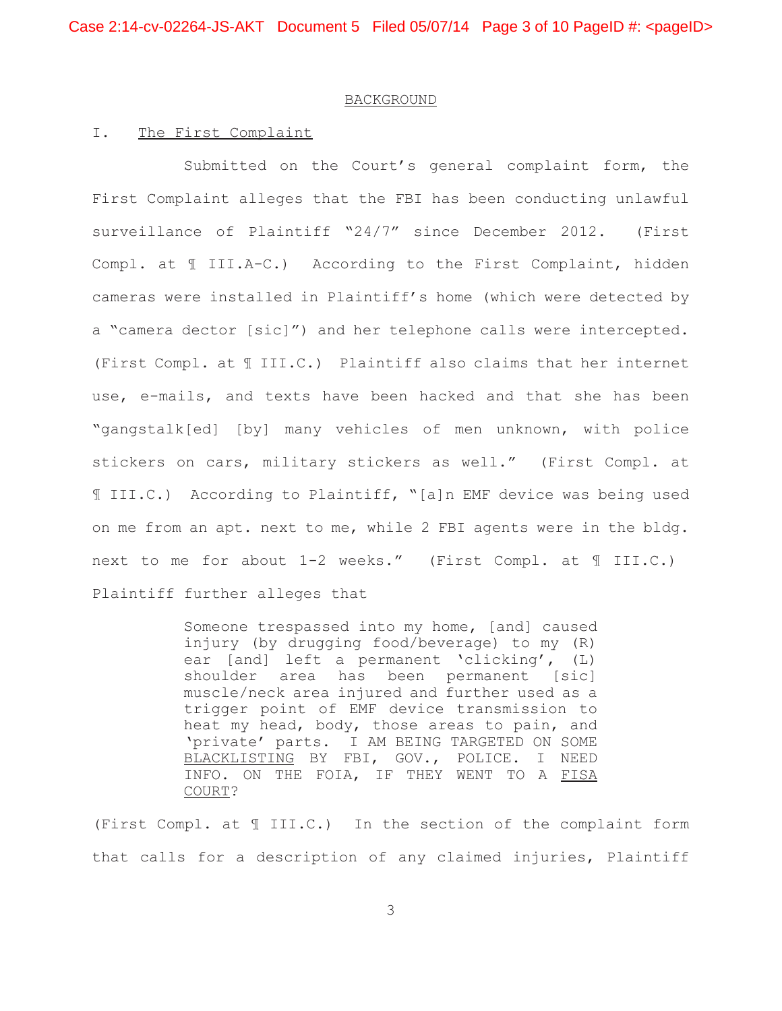# BACKGROUND

### I. The First Complaint

Submitted on the Court's general complaint form, the First Complaint alleges that the FBI has been conducting unlawful surveillance of Plaintiff "24/7" since December 2012. (First Compl. at ¶ III.A-C.) According to the First Complaint, hidden cameras were installed in Plaintiff's home (which were detected by a "camera dector [sic]") and her telephone calls were intercepted. (First Compl. at ¶ III.C.) Plaintiff also claims that her internet use, e-mails, and texts have been hacked and that she has been "gangstalk[ed] [by] many vehicles of men unknown, with police stickers on cars, military stickers as well." (First Compl. at ¶ III.C.) According to Plaintiff, "[a]n EMF device was being used on me from an apt. next to me, while 2 FBI agents were in the bldg. next to me for about 1-2 weeks." (First Compl. at ¶ III.C.) Plaintiff further alleges that

> Someone trespassed into my home, [and] caused injury (by drugging food/beverage) to my (R) ear [and] left a permanent 'clicking', (L) shoulder area has been permanent [sic] muscle/neck area injured and further used as a trigger point of EMF device transmission to heat my head, body, those areas to pain, and 'private' parts. I AM BEING TARGETED ON SOME BLACKLISTING BY FBI, GOV., POLICE. I NEED INFO. ON THE FOIA, IF THEY WENT TO A FISA COURT?

(First Compl. at ¶ III.C.) In the section of the complaint form that calls for a description of any claimed injuries, Plaintiff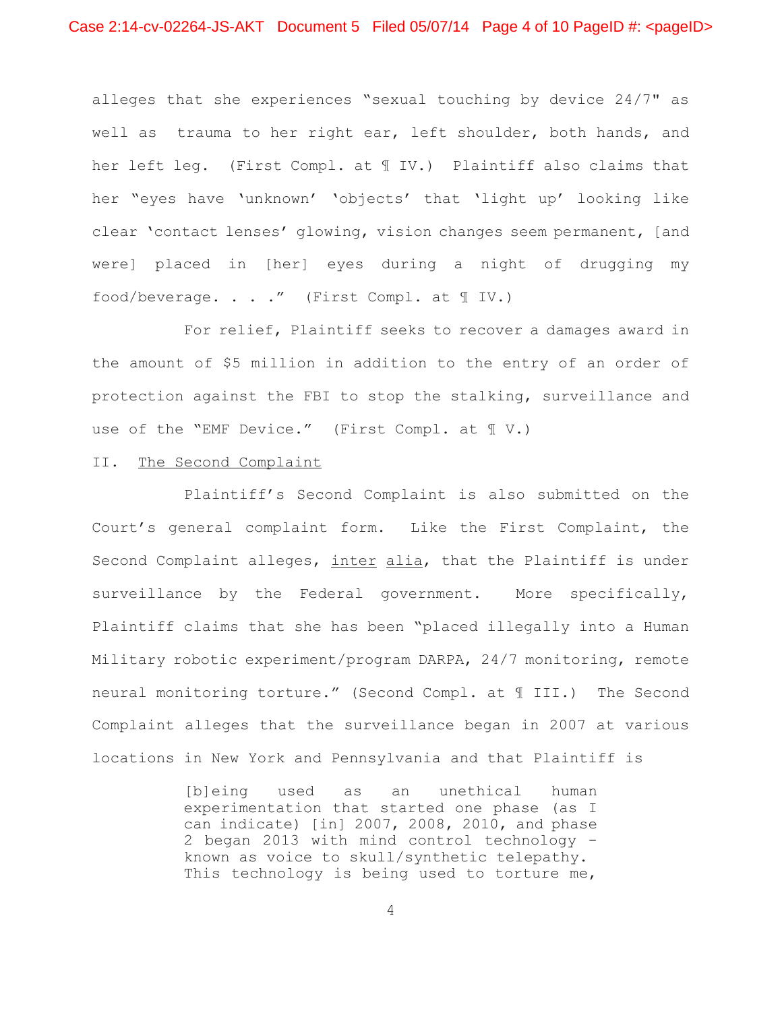alleges that she experiences "sexual touching by device 24/7" as well as trauma to her right ear, left shoulder, both hands, and her left leg. (First Compl. at ¶ IV.) Plaintiff also claims that her "eyes have 'unknown' 'objects' that 'light up' looking like clear 'contact lenses' glowing, vision changes seem permanent, [and were] placed in [her] eyes during a night of drugging my food/beverage. . . ." (First Compl. at ¶ IV.)

For relief, Plaintiff seeks to recover a damages award in the amount of \$5 million in addition to the entry of an order of protection against the FBI to stop the stalking, surveillance and use of the "EMF Device." (First Compl. at ¶ V.)

# II. The Second Complaint

Plaintiff's Second Complaint is also submitted on the Court's general complaint form. Like the First Complaint, the Second Complaint alleges, inter alia, that the Plaintiff is under surveillance by the Federal government. More specifically, Plaintiff claims that she has been "placed illegally into a Human Military robotic experiment/program DARPA, 24/7 monitoring, remote neural monitoring torture." (Second Compl. at ¶ III.) The Second Complaint alleges that the surveillance began in 2007 at various locations in New York and Pennsylvania and that Plaintiff is

> [b]eing used as an unethical human experimentation that started one phase (as I can indicate) [in] 2007, 2008, 2010, and phase 2 began 2013 with mind control technology known as voice to skull/synthetic telepathy. This technology is being used to torture me,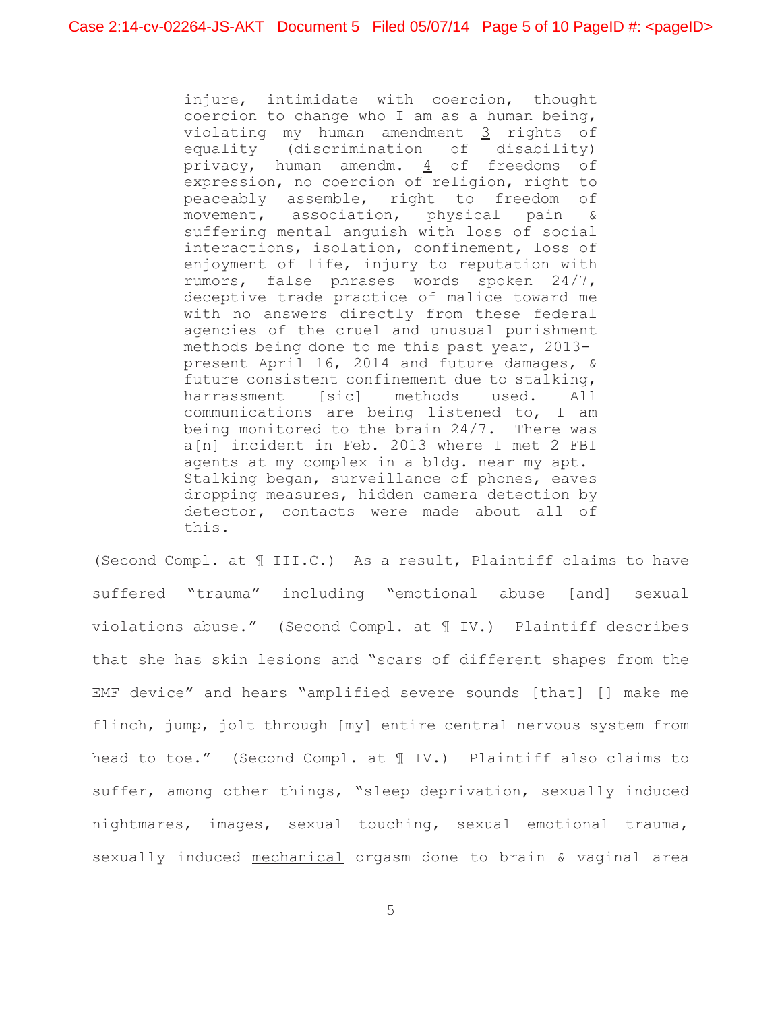injure, intimidate with coercion, thought coercion to change who I am as a human being, violating my human amendment 3 rights of equality (discrimination of disability) privacy, human amendm.  $\frac{4}{5}$  of freedoms of expression, no coercion of religion, right to peaceably assemble, right to freedom of movement, association, physical pain & suffering mental anguish with loss of social interactions, isolation, confinement, loss of enjoyment of life, injury to reputation with rumors, false phrases words spoken 24/7, deceptive trade practice of malice toward me with no answers directly from these federal agencies of the cruel and unusual punishment methods being done to me this past year, 2013 present April 16, 2014 and future damages, & future consistent confinement due to stalking, harrassment [sic] methods used. All communications are being listened to, I am being monitored to the brain 24/7. There was a[n] incident in Feb. 2013 where I met 2 FBI agents at my complex in a bldg. near my apt. Stalking began, surveillance of phones, eaves dropping measures, hidden camera detection by detector, contacts were made about all of this.

(Second Compl. at ¶ III.C.) As a result, Plaintiff claims to have suffered "trauma" including "emotional abuse [and] sexual violations abuse." (Second Compl. at ¶ IV.) Plaintiff describes that she has skin lesions and "scars of different shapes from the EMF device" and hears "amplified severe sounds [that] [] make me flinch, jump, jolt through [my] entire central nervous system from head to toe." (Second Compl. at ¶ IV.) Plaintiff also claims to suffer, among other things, "sleep deprivation, sexually induced nightmares, images, sexual touching, sexual emotional trauma, sexually induced mechanical orgasm done to brain & vaginal area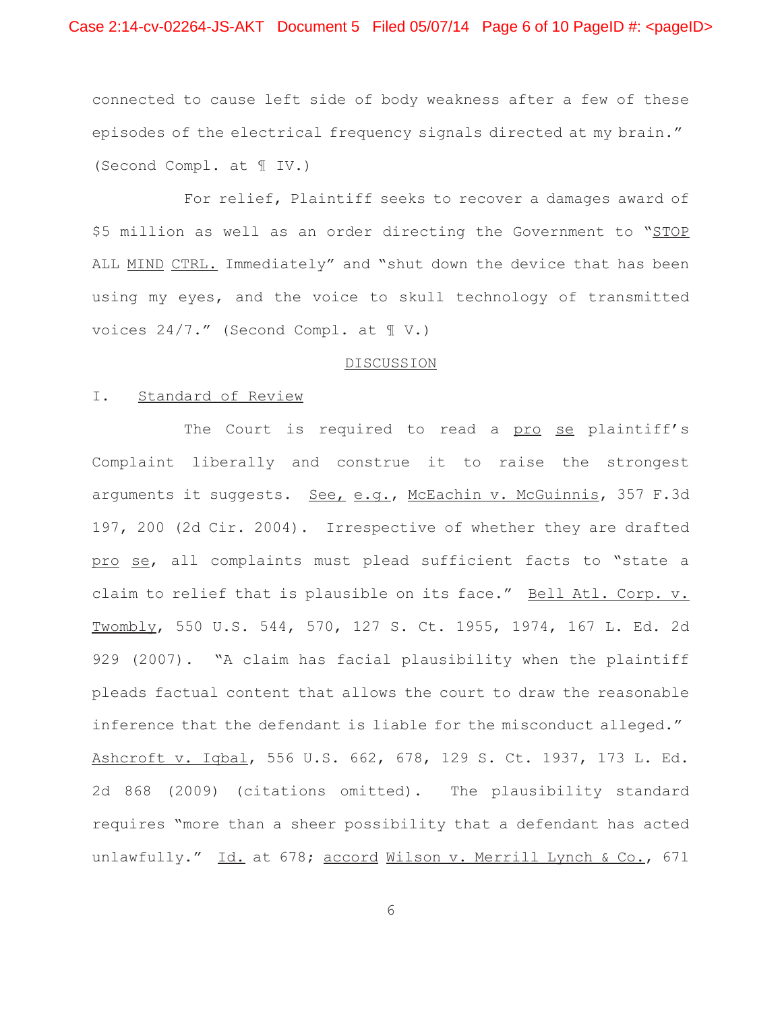connected to cause left side of body weakness after a few of these episodes of the electrical frequency signals directed at my brain." (Second Compl. at ¶ IV.)

For relief, Plaintiff seeks to recover a damages award of \$5 million as well as an order directing the Government to "STOP ALL MIND CTRL. Immediately" and "shut down the device that has been using my eyes, and the voice to skull technology of transmitted voices 24/7." (Second Compl. at ¶ V.)

#### DISCUSSION

# I. Standard of Review

The Court is required to read a pro se plaintiff's Complaint liberally and construe it to raise the strongest arguments it suggests. See, e.g., McEachin v. McGuinnis, 357 F.3d 197, 200 (2d Cir. 2004). Irrespective of whether they are drafted pro se, all complaints must plead sufficient facts to "state a claim to relief that is plausible on its face." Bell Atl. Corp. v. Twombly, 550 U.S. 544, 570, 127 S. Ct. 1955, 1974, 167 L. Ed. 2d 929 (2007). "A claim has facial plausibility when the plaintiff pleads factual content that allows the court to draw the reasonable inference that the defendant is liable for the misconduct alleged." Ashcroft v. Iqbal, 556 U.S. 662, 678, 129 S. Ct. 1937, 173 L. Ed. 2d 868 (2009) (citations omitted). The plausibility standard requires "more than a sheer possibility that a defendant has acted unlawfully." Id. at 678; accord Wilson v. Merrill Lynch & Co., 671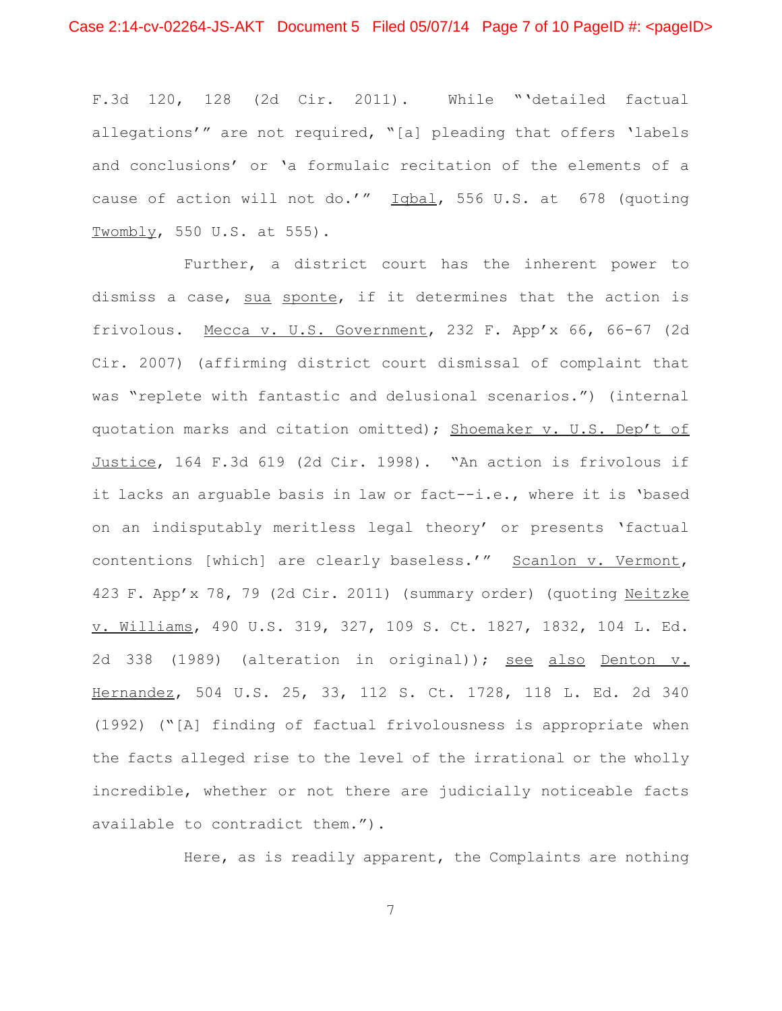F.3d 120, 128 (2d Cir. 2011). While "'detailed factual allegations'" are not required, "[a] pleading that offers 'labels and conclusions' or 'a formulaic recitation of the elements of a cause of action will not do.'" Iqbal, 556 U.S. at 678 (quoting Twombly, 550 U.S. at 555).

Further, a district court has the inherent power to dismiss a case, sua sponte, if it determines that the action is frivolous. Mecca v. U.S. Government, 232 F. App'x 66, 66-67 (2d Cir. 2007) (affirming district court dismissal of complaint that was "replete with fantastic and delusional scenarios.") (internal quotation marks and citation omitted); Shoemaker v. U.S. Dep't of Justice, 164 F.3d 619 (2d Cir. 1998). "An action is frivolous if it lacks an arguable basis in law or fact--i.e., where it is 'based on an indisputably meritless legal theory' or presents 'factual contentions [which] are clearly baseless.'" Scanlon v. Vermont, 423 F. App'x 78, 79 (2d Cir. 2011) (summary order) (quoting Neitzke v. Williams, 490 U.S. 319, 327, 109 S. Ct. 1827, 1832, 104 L. Ed. 2d 338 (1989) (alteration in original)); see also Denton v. Hernandez, 504 U.S. 25, 33, 112 S. Ct. 1728, 118 L. Ed. 2d 340 (1992) ("[A] finding of factual frivolousness is appropriate when the facts alleged rise to the level of the irrational or the wholly incredible, whether or not there are judicially noticeable facts available to contradict them.").

Here, as is readily apparent, the Complaints are nothing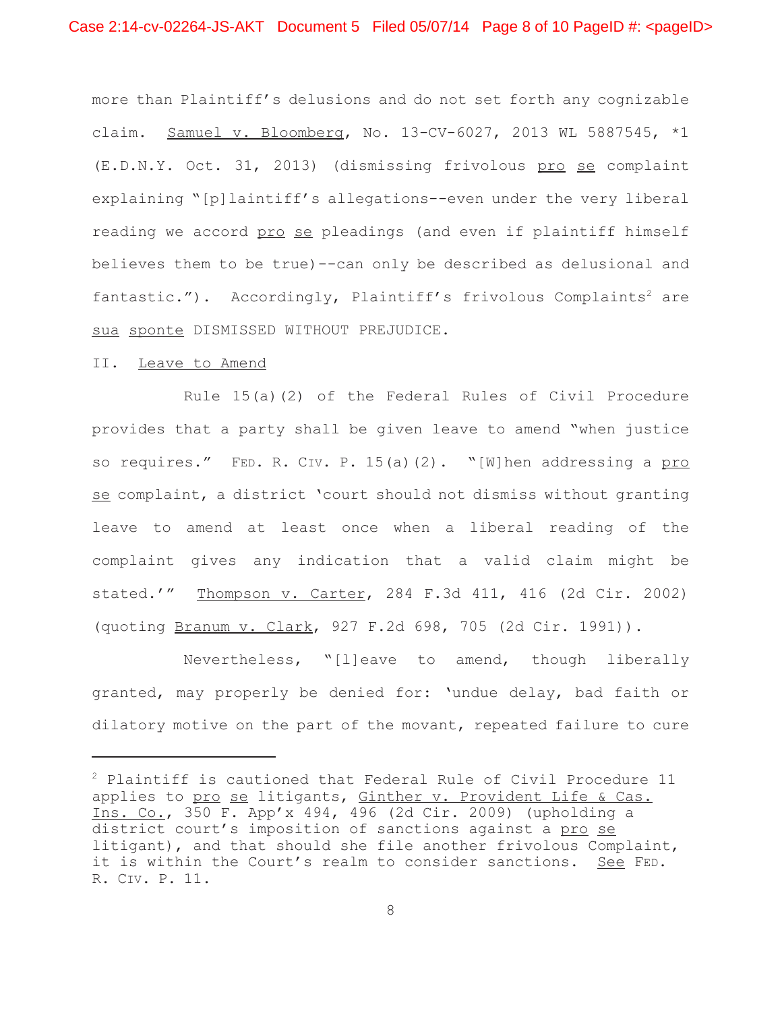more than Plaintiff's delusions and do not set forth any cognizable claim. Samuel v. Bloomberg, No. 13-CV-6027, 2013 WL 5887545, \*1 (E.D.N.Y. Oct. 31, 2013) (dismissing frivolous pro se complaint explaining "[p]laintiff's allegations--even under the very liberal reading we accord pro se pleadings (and even if plaintiff himself believes them to be true)--can only be described as delusional and fantastic."). Accordingly, Plaintiff's frivolous Complaints<sup>2</sup> are sua sponte DISMISSED WITHOUT PREJUDICE.

### II. Leave to Amend

Rule 15(a)(2) of the Federal Rules of Civil Procedure provides that a party shall be given leave to amend "when justice so requires." FED. R. CIV. P. 15(a)(2). "[W]hen addressing a pro se complaint, a district 'court should not dismiss without granting leave to amend at least once when a liberal reading of the complaint gives any indication that a valid claim might be stated.'" Thompson v. Carter, 284 F.3d 411, 416 (2d Cir. 2002) (quoting Branum v. Clark, 927 F.2d 698, 705 (2d Cir. 1991)).

Nevertheless, "[l]eave to amend, though liberally granted, may properly be denied for: 'undue delay, bad faith or dilatory motive on the part of the movant, repeated failure to cure

<sup>2</sup> Plaintiff is cautioned that Federal Rule of Civil Procedure 11 applies to pro se litigants, Ginther v. Provident Life & Cas. Ins. Co., 350 F. App'x 494, 496 (2d Cir. 2009) (upholding a district court's imposition of sanctions against a pro se litigant), and that should she file another frivolous Complaint, it is within the Court's realm to consider sanctions. See FED. R. CIV. P. 11.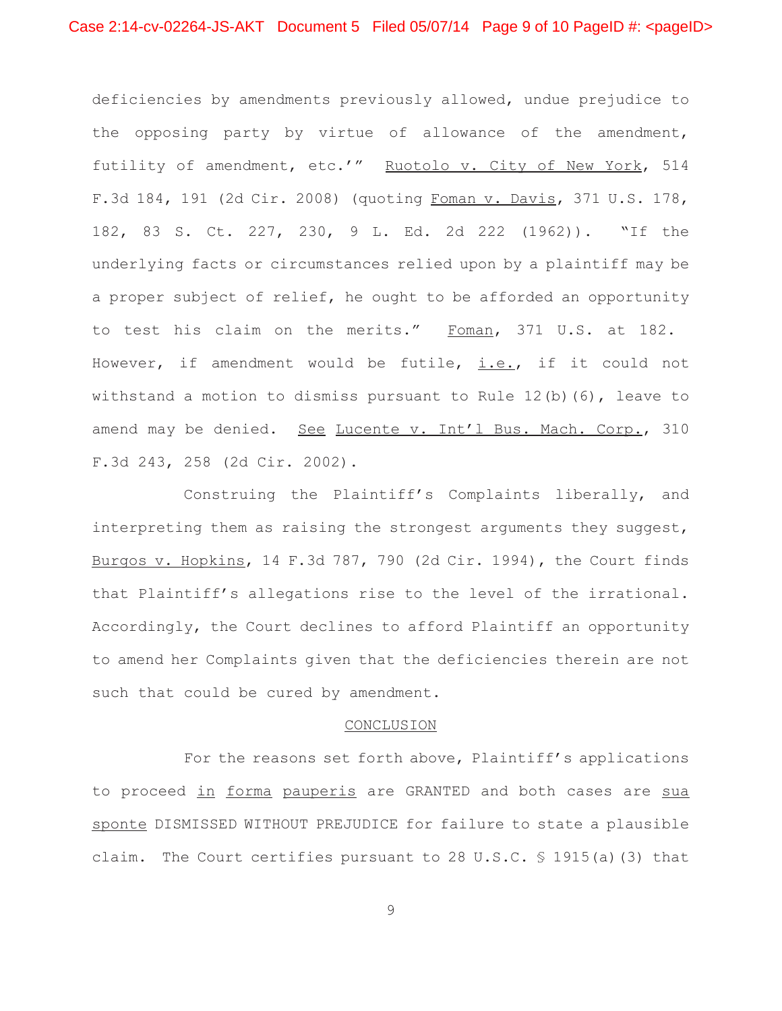deficiencies by amendments previously allowed, undue prejudice to the opposing party by virtue of allowance of the amendment, futility of amendment, etc.'" Ruotolo v. City of New York, 514 F.3d 184, 191 (2d Cir. 2008) (quoting Foman v. Davis, 371 U.S. 178, 182, 83 S. Ct. 227, 230, 9 L. Ed. 2d 222 (1962)). "If the underlying facts or circumstances relied upon by a plaintiff may be a proper subject of relief, he ought to be afforded an opportunity to test his claim on the merits." Foman, 371 U.S. at 182. However, if amendment would be futile,  $i.e.,$  if it could not withstand a motion to dismiss pursuant to Rule 12(b)(6), leave to amend may be denied. See Lucente v. Int'l Bus. Mach. Corp., 310 F.3d 243, 258 (2d Cir. 2002).

Construing the Plaintiff's Complaints liberally, and interpreting them as raising the strongest arguments they suggest, Burgos v. Hopkins, 14 F.3d 787, 790 (2d Cir. 1994), the Court finds that Plaintiff's allegations rise to the level of the irrational. Accordingly, the Court declines to afford Plaintiff an opportunity to amend her Complaints given that the deficiencies therein are not such that could be cured by amendment.

# CONCLUSION

For the reasons set forth above, Plaintiff's applications to proceed in forma pauperis are GRANTED and both cases are sua sponte DISMISSED WITHOUT PREJUDICE for failure to state a plausible claim. The Court certifies pursuant to 28 U.S.C. § 1915(a)(3) that